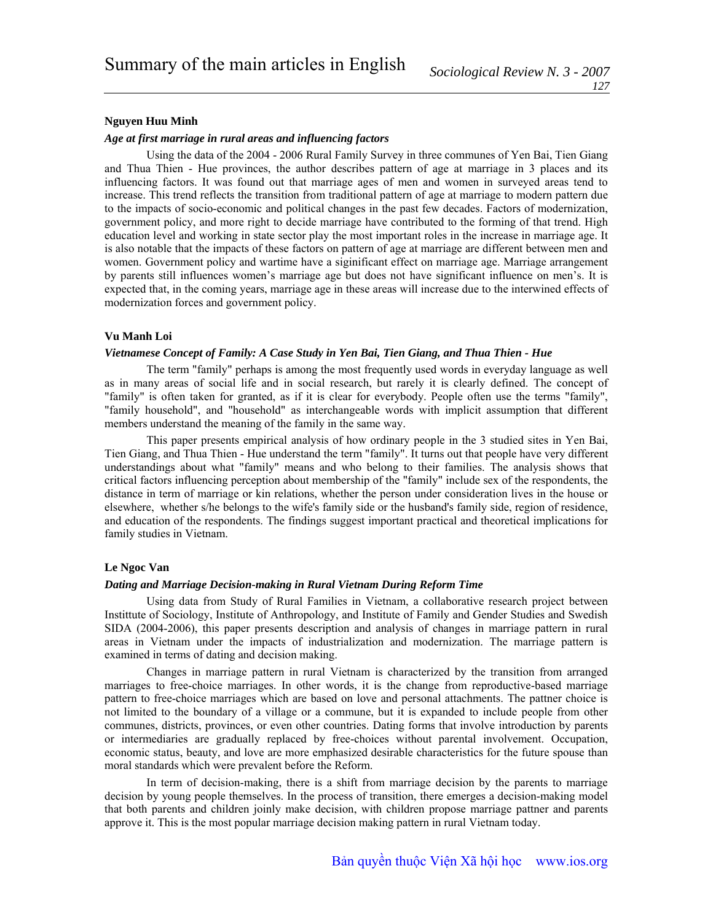# **Nguyen Huu Minh**

## *Age at first marriage in rural areas and influencing factors*

Using the data of the 2004 - 2006 Rural Family Survey in three communes of Yen Bai, Tien Giang and Thua Thien - Hue provinces, the author describes pattern of age at marriage in 3 places and its influencing factors. It was found out that marriage ages of men and women in surveyed areas tend to increase. This trend reflects the transition from traditional pattern of age at marriage to modern pattern due to the impacts of socio-economic and political changes in the past few decades. Factors of modernization, government policy, and more right to decide marriage have contributed to the forming of that trend. High education level and working in state sector play the most important roles in the increase in marriage age. It is also notable that the impacts of these factors on pattern of age at marriage are different between men and women. Government policy and wartime have a siginificant effect on marriage age. Marriage arrangement by parents still influences women's marriage age but does not have significant influence on men's. It is expected that, in the coming years, marriage age in these areas will increase due to the interwined effects of modernization forces and government policy.

# **Vu Manh Loi**

## *Vietnamese Concept of Family: A Case Study in Yen Bai, Tien Giang, and Thua Thien - Hue*

The term "family" perhaps is among the most frequently used words in everyday language as well as in many areas of social life and in social research, but rarely it is clearly defined. The concept of "family" is often taken for granted, as if it is clear for everybody. People often use the terms "family", "family household", and "household" as interchangeable words with implicit assumption that different members understand the meaning of the family in the same way.

This paper presents empirical analysis of how ordinary people in the 3 studied sites in Yen Bai, Tien Giang, and Thua Thien - Hue understand the term "family". It turns out that people have very different understandings about what "family" means and who belong to their families. The analysis shows that critical factors influencing perception about membership of the "family" include sex of the respondents, the distance in term of marriage or kin relations, whether the person under consideration lives in the house or elsewhere, whether s/he belongs to the wife's family side or the husband's family side, region of residence, and education of the respondents. The findings suggest important practical and theoretical implications for family studies in Vietnam.

## **Le Ngoc Van**

# *Dating and Marriage Decision-making in Rural Vietnam During Reform Time*

Using data from Study of Rural Families in Vietnam, a collaborative research project between Instittute of Sociology, Institute of Anthropology, and Institute of Family and Gender Studies and Swedish SIDA (2004-2006), this paper presents description and analysis of changes in marriage pattern in rural areas in Vietnam under the impacts of industrialization and modernization. The marriage pattern is examined in terms of dating and decision making.

Changes in marriage pattern in rural Vietnam is characterized by the transition from arranged marriages to free-choice marriages. In other words, it is the change from reproductive-based marriage pattern to free-choice marriages which are based on love and personal attachments. The pattner choice is not limited to the boundary of a village or a commune, but it is expanded to include people from other communes, districts, provinces, or even other countries. Dating forms that involve introduction by parents or intermediaries are gradually replaced by free-choices without parental involvement. Occupation, economic status, beauty, and love are more emphasized desirable characteristics for the future spouse than moral standards which were prevalent before the Reform.

In term of decision-making, there is a shift from marriage decision by the parents to marriage decision by young people themselves. In the process of transition, there emerges a decision-making model that both parents and children joinly make decision, with children propose marriage pattner and parents approve it. This is the most popular marriage decision making pattern in rural Vietnam today.